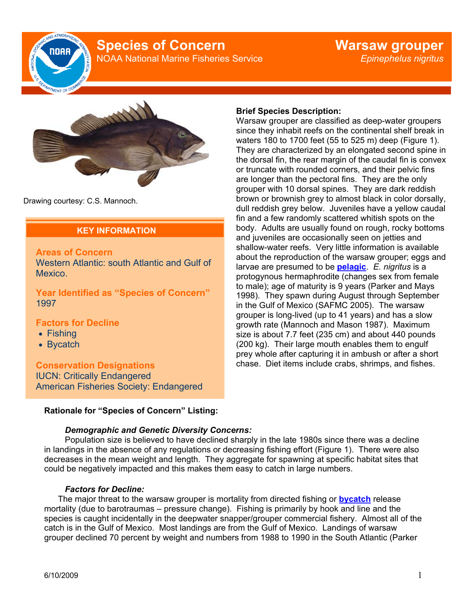

# **Species of Concern**

NOAA National Marine Fisheries Service



Drawing courtesy: C.S. Mannoch.

## **KEY INFORMATION**

## **Areas of Concern**

Western Atlantic: south Atlantic and Gulf of Mexico.

**Year Identified as "Species of Concern"**  1997

## **Factors for Decline**

- Fishing
- Bycatch

**Conservation Designations**  IUCN: Critically Endangered American Fisheries Society: Endangered

## **Brief Species Description:**

Warsaw grouper are classified as deep-water groupers since they inhabit reefs on the continental shelf break in waters 180 to 1700 feet (55 to 525 m) deep (Figure 1). They are characterized by an elongated second spine in the dorsal fin, the rear margin of the caudal fin is convex or truncate with rounded corners, and their pelvic fins are longer than the pectoral fins. They are the only grouper with 10 dorsal spines. They are dark reddish brown or brownish grey to almost black in color dorsally, dull reddish grey below. Juveniles have a yellow caudal fin and a few randomly scattered whitish spots on the body. Adults are usually found on rough, rocky bottoms and juveniles are occasionally seen on jetties and shallow-water reefs. Very little information is available about the reproduction of the warsaw grouper; eggs and larvae are presumed to be **pelagic**. *E. nigritus* is a protogynous hermaphrodite (changes sex from female to male); age of maturity is 9 years (Parker and Mays 1998). They spawn during August through September in the Gulf of Mexico (SAFMC 2005). The warsaw grouper is long-lived (up to 41 years) and has a slow growth rate (Mannoch and Mason 1987). Maximum size is about 7.7 feet (235 cm) and about 440 pounds (200 kg). Their large mouth enables them to engulf prey whole after capturing it in ambush or after a short chase. Diet items include crabs, shrimps, and fishes.

## **Rationale for "Species of Concern" Listing:**

### *Demographic and Genetic Diversity Concerns:*

Population size is believed to have declined sharply in the late 1980s since there was a decline in landings in the absence of any regulations or decreasing fishing effort (Figure 1). There were also decreases in the mean weight and length. They aggregate for spawning at specific habitat sites that could be negatively impacted and this makes them easy to catch in large numbers.

### *Factors for Decline:*

The major threat to the warsaw grouper is mortality from directed fishing or **bycatch** release mortality (due to barotraumas – pressure change). Fishing is primarily by hook and line and the species is caught incidentally in the deepwater snapper/grouper commercial fishery. Almost all of the catch is in the Gulf of Mexico. Most landings are from the Gulf of Mexico. Landings of warsaw grouper declined 70 percent by weight and numbers from 1988 to 1990 in the South Atlantic (Parker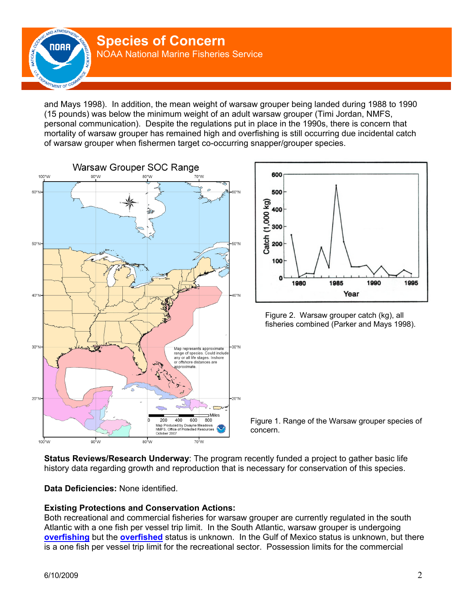

and Mays 1998). In addition, the mean weight of warsaw grouper being landed during 1988 to 1990 (15 pounds) was below the minimum weight of an adult warsaw grouper (Timi Jordan, NMFS, personal communication). Despite the regulations put in place in the 1990s, there is concern that mortality of warsaw grouper has remained high and overfishing is still occurring due incidental catch of warsaw grouper when fishermen target co-occurring snapper/grouper species.





Figure 2. Warsaw grouper catch (kg), all fisheries combined (Parker and Mays 1998).

Figure 1. Range of the Warsaw grouper species of concern.

**Status Reviews/Research Underway**: The program recently funded a project to gather basic life history data regarding growth and reproduction that is necessary for conservation of this species.

**Data Deficiencies:** None identified.

## **Existing Protections and Conservation Actions:**

Both recreational and commercial fisheries for warsaw grouper are currently regulated in the south Atlantic with a one fish per vessel trip limit. In the South Atlantic, warsaw grouper is undergoing **overfishing** but the **overfished** status is unknown. In the Gulf of Mexico status is unknown, but there is a one fish per vessel trip limit for the recreational sector. Possession limits for the commercial